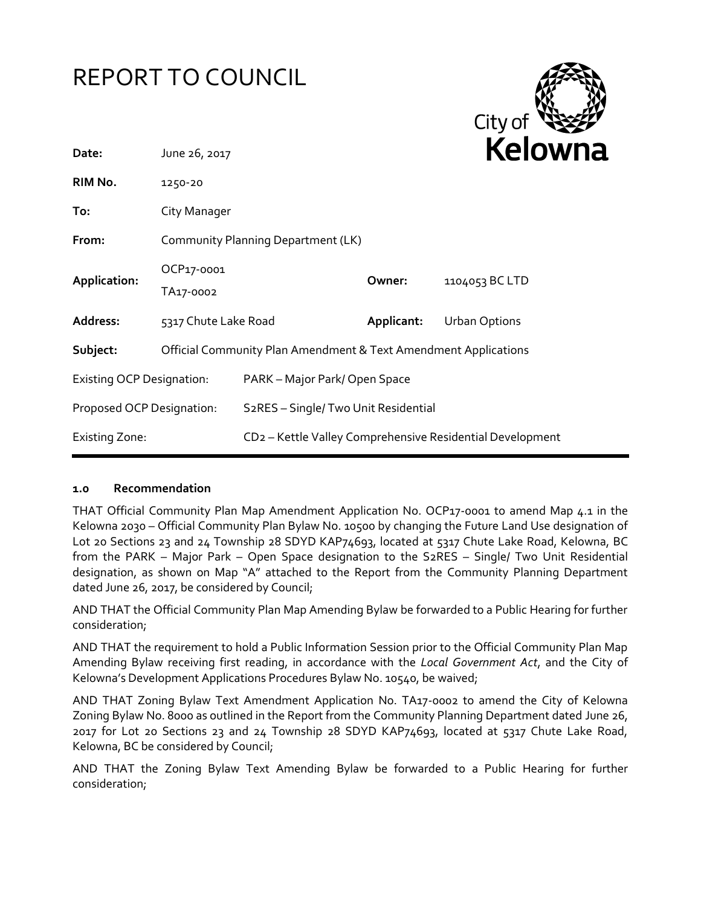# REPORT TO COUNCIL



| Date:                            | <b>Kelow</b><br>June 26, 2017                                              |                                                                       |            |                      |
|----------------------------------|----------------------------------------------------------------------------|-----------------------------------------------------------------------|------------|----------------------|
| RIM No.                          | 1250-20                                                                    |                                                                       |            |                      |
| To:                              | City Manager                                                               |                                                                       |            |                      |
| From:                            | Community Planning Department (LK)                                         |                                                                       |            |                      |
| Application:                     | OCP17-0001<br>TA17-0002                                                    |                                                                       | Owner:     | 1104053 BC LTD       |
| Address:                         | 5317 Chute Lake Road                                                       |                                                                       | Applicant: | <b>Urban Options</b> |
| Subject:                         | <b>Official Community Plan Amendment &amp; Text Amendment Applications</b> |                                                                       |            |                      |
| <b>Existing OCP Designation:</b> |                                                                            | PARK – Major Park/Open Space                                          |            |                      |
| Proposed OCP Designation:        |                                                                            | S2RES - Single/ Two Unit Residential                                  |            |                      |
| <b>Existing Zone:</b>            |                                                                            | CD <sub>2</sub> - Kettle Valley Comprehensive Residential Development |            |                      |

# **1.0 Recommendation**

THAT Official Community Plan Map Amendment Application No. OCP17-0001 to amend Map 4.1 in the Kelowna 2030 – Official Community Plan Bylaw No. 10500 by changing the Future Land Use designation of Lot 20 Sections 23 and 24 Township 28 SDYD KAP74693, located at 5317 Chute Lake Road, Kelowna, BC from the PARK – Major Park – Open Space designation to the S2RES – Single/ Two Unit Residential designation, as shown on Map "A" attached to the Report from the Community Planning Department dated June 26, 2017, be considered by Council;

AND THAT the Official Community Plan Map Amending Bylaw be forwarded to a Public Hearing for further consideration;

AND THAT the requirement to hold a Public Information Session prior to the Official Community Plan Map Amending Bylaw receiving first reading, in accordance with the *Local Government Act*, and the City of Kelowna's Development Applications Procedures Bylaw No. 10540, be waived;

AND THAT Zoning Bylaw Text Amendment Application No. TA17-0002 to amend the City of Kelowna Zoning Bylaw No. 8000 as outlined in the Report from the Community Planning Department dated June 26, 2017 for Lot 20 Sections 23 and 24 Township 28 SDYD KAP74693, located at 5317 Chute Lake Road, Kelowna, BC be considered by Council;

AND THAT the Zoning Bylaw Text Amending Bylaw be forwarded to a Public Hearing for further consideration;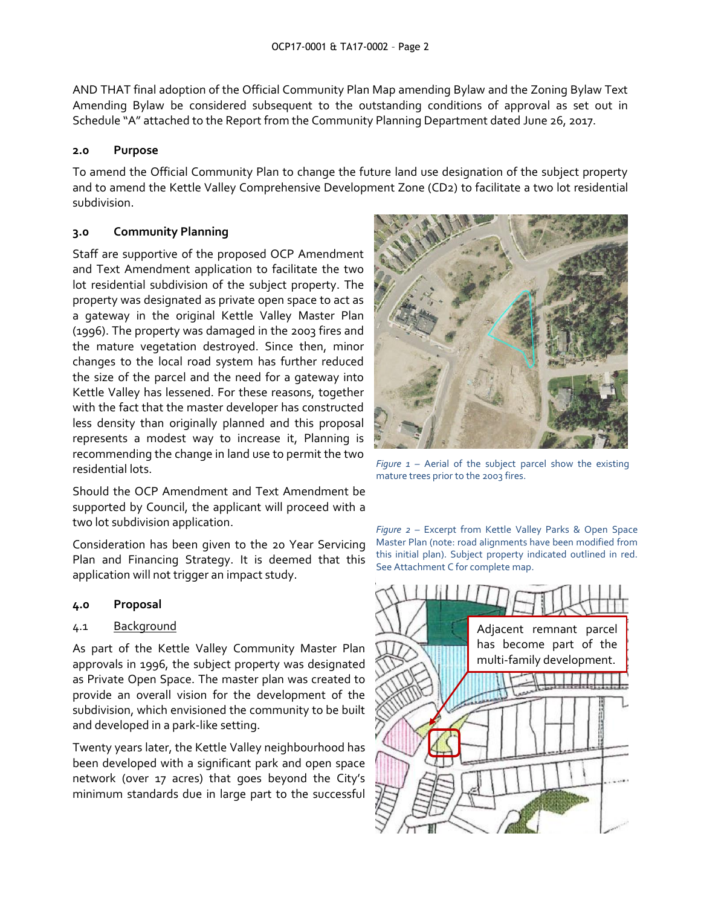AND THAT final adoption of the Official Community Plan Map amending Bylaw and the Zoning Bylaw Text Amending Bylaw be considered subsequent to the outstanding conditions of approval as set out in Schedule "A" attached to the Report from the Community Planning Department dated June 26, 2017.

#### **2.0 Purpose**

To amend the Official Community Plan to change the future land use designation of the subject property and to amend the Kettle Valley Comprehensive Development Zone (CD2) to facilitate a two lot residential subdivision.

# **3.0 Community Planning**

Staff are supportive of the proposed OCP Amendment and Text Amendment application to facilitate the two lot residential subdivision of the subject property. The property was designated as private open space to act as a gateway in the original Kettle Valley Master Plan (1996). The property was damaged in the 2003 fires and the mature vegetation destroyed. Since then, minor changes to the local road system has further reduced the size of the parcel and the need for a gateway into Kettle Valley has lessened. For these reasons, together with the fact that the master developer has constructed less density than originally planned and this proposal represents a modest way to increase it, Planning is recommending the change in land use to permit the two residential lots.

Should the OCP Amendment and Text Amendment be supported by Council, the applicant will proceed with a two lot subdivision application.

Consideration has been given to the 20 Year Servicing Plan and Financing Strategy. It is deemed that this application will not trigger an impact study.

#### **4.0 Proposal**

# 4.1 Background

As part of the Kettle Valley Community Master Plan approvals in 1996, the subject property was designated as Private Open Space. The master plan was created to provide an overall vision for the development of the subdivision, which envisioned the community to be built and developed in a park-like setting.

Twenty years later, the Kettle Valley neighbourhood has been developed with a significant park and open space network (over 17 acres) that goes beyond the City's minimum standards due in large part to the successful



*Figure 1 –* Aerial of the subject parcel show the existing mature trees prior to the 2003 fires.

*Figure 2 –* Excerpt from Kettle Valley Parks & Open Space Master Plan (note: road alignments have been modified from this initial plan). Subject property indicated outlined in red. See Attachment C for complete map.

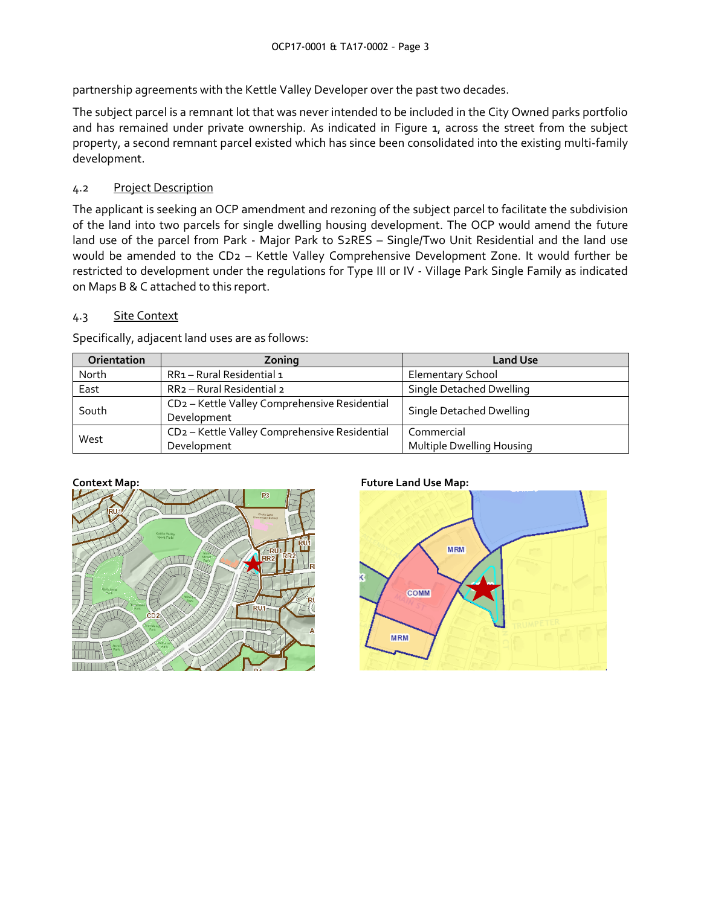partnership agreements with the Kettle Valley Developer over the past two decades.

The subject parcel is a remnant lot that was never intended to be included in the City Owned parks portfolio and has remained under private ownership. As indicated in Figure 1, across the street from the subject property, a second remnant parcel existed which has since been consolidated into the existing multi-family development.

# 4.2 Project Description

The applicant is seeking an OCP amendment and rezoning of the subject parcel to facilitate the subdivision of the land into two parcels for single dwelling housing development. The OCP would amend the future land use of the parcel from Park - Major Park to S2RES – Single/Two Unit Residential and the land use would be amended to the CD2 – Kettle Valley Comprehensive Development Zone. It would further be restricted to development under the regulations for Type III or IV - Village Park Single Family as indicated on Maps B & C attached to this report.

# 4.3 Site Context

Specifically, adjacent land uses are as follows:

| Orientation | Zoning                                                                   | <b>Land Use</b>                         |  |
|-------------|--------------------------------------------------------------------------|-----------------------------------------|--|
| North       | RR1 - Rural Residential 1                                                | Elementary School                       |  |
| East        | RR <sub>2</sub> - Rural Residential 2                                    | Single Detached Dwelling                |  |
| South       | CD <sub>2</sub> - Kettle Valley Comprehensive Residential<br>Development | Single Detached Dwelling                |  |
| West        | CD <sub>2</sub> - Kettle Valley Comprehensive Residential<br>Development | Commercial<br>Multiple Dwelling Housing |  |



# **Context Map: Future Land Use Map:**

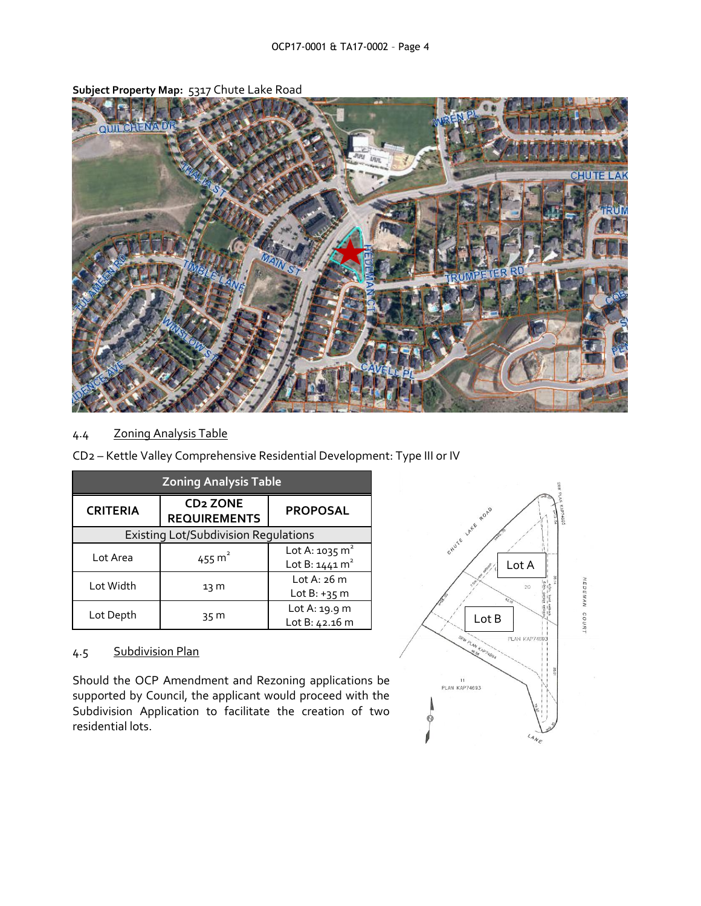

**Subject Property Map:** 5317 Chute Lake Road

# 4.4 Zoning Analysis Table

| CD2 - Kettle Valley Comprehensive Residential Development: Type III or IV |  |  |  |
|---------------------------------------------------------------------------|--|--|--|
|---------------------------------------------------------------------------|--|--|--|

| <b>Zoning Analysis Table</b>                |                                                   |                           |  |  |
|---------------------------------------------|---------------------------------------------------|---------------------------|--|--|
| <b>CRITERIA</b>                             | <b>CD<sub>2</sub> ZONE</b><br><b>REQUIREMENTS</b> | <b>PROPOSAL</b>           |  |  |
| <b>Existing Lot/Subdivision Requlations</b> |                                                   |                           |  |  |
| Lot Area                                    | 455 $m^2$                                         | Lot A: $1035 \text{ m}^2$ |  |  |
|                                             |                                                   | Lot B: $1441 \text{ m}^2$ |  |  |
| Lot Width                                   | 13 M                                              | Lot A: $26 \text{ m}$     |  |  |
|                                             |                                                   | Lot $B: +35$ m            |  |  |
|                                             | 35 M                                              | Lot A: 19.9 m             |  |  |
| Lot Depth                                   |                                                   | Lot B: 42.16 m            |  |  |

# 4.5 Subdivision Plan

Should the OCP Amendment and Rezoning applications be supported by Council, the applicant would proceed with the Subdivision Application to facilitate the creation of two residential lots.

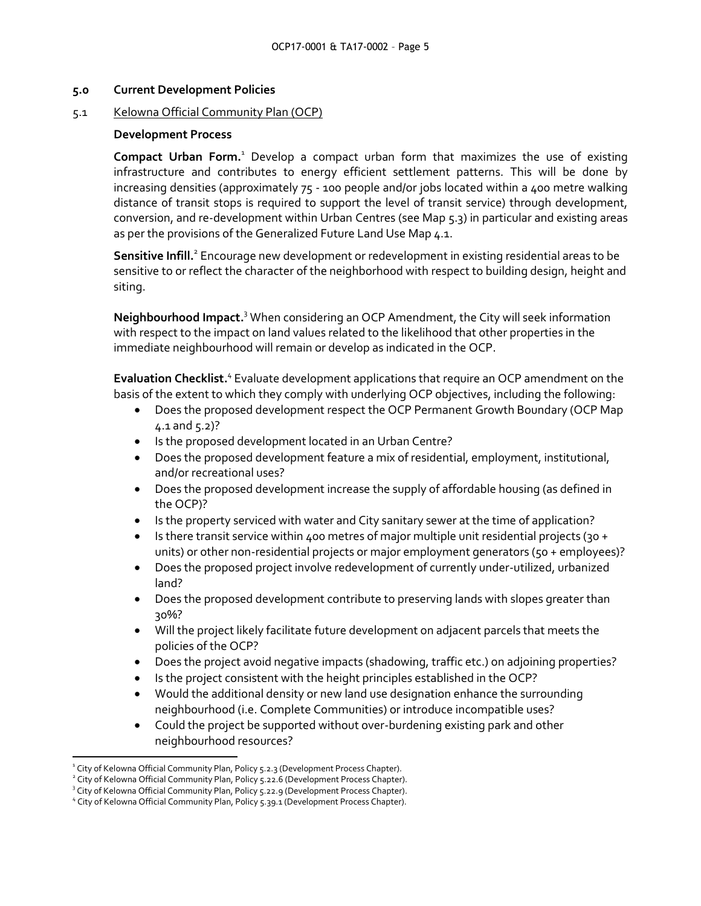#### **5.0 Current Development Policies**

#### 5.1 Kelowna Official Community Plan (OCP)

#### **Development Process**

**Compact Urban Form.**<sup>1</sup> Develop a compact urban form that maximizes the use of existing infrastructure and contributes to energy efficient settlement patterns. This will be done by increasing densities (approximately 75 - 100 people and/or jobs located within a 400 metre walking distance of transit stops is required to support the level of transit service) through development, conversion, and re-development within Urban Centres (see Map 5.3) in particular and existing areas as per the provisions of the Generalized Future Land Use Map 4.1.

Sensitive Infill.<sup>2</sup> Encourage new development or redevelopment in existing residential areas to be sensitive to or reflect the character of the neighborhood with respect to building design, height and siting.

**Neighbourhood Impact.** <sup>3</sup> When considering an OCP Amendment, the City will seek information with respect to the impact on land values related to the likelihood that other properties in the immediate neighbourhood will remain or develop as indicated in the OCP.

Evaluation Checklist.<sup>4</sup> Evaluate development applications that require an OCP amendment on the basis of the extent to which they comply with underlying OCP objectives, including the following:

- Does the proposed development respect the OCP Permanent Growth Boundary (OCP Map  $4.1$  and  $5.2$ )?
- Is the proposed development located in an Urban Centre?
- Does the proposed development feature a mix of residential, employment, institutional, and/or recreational uses?
- Does the proposed development increase the supply of affordable housing (as defined in the OCP)?
- Is the property serviced with water and City sanitary sewer at the time of application?
- Is there transit service within 400 metres of major multiple unit residential projects (30 + units) or other non-residential projects or major employment generators (50 + employees)?
- Does the proposed project involve redevelopment of currently under-utilized, urbanized land?
- Does the proposed development contribute to preserving lands with slopes greater than 30%?
- Will the project likely facilitate future development on adjacent parcels that meets the policies of the OCP?
- Does the project avoid negative impacts (shadowing, traffic etc.) on adjoining properties?
- Is the project consistent with the height principles established in the OCP?
- Would the additional density or new land use designation enhance the surrounding neighbourhood (i.e. Complete Communities) or introduce incompatible uses?
- Could the project be supported without over-burdening existing park and other neighbourhood resources?

1

<sup>&</sup>lt;sup>1</sup> City of Kelowna Official Community Plan, Policy 5.2.3 (Development Process Chapter).

<sup>&</sup>lt;sup>2</sup> City of Kelowna Official Community Plan, Policy 5.22.6 (Development Process Chapter).

<sup>&</sup>lt;sup>3</sup> City of Kelowna Official Community Plan, Policy 5.22.9 (Development Process Chapter).

<sup>&</sup>lt;sup>4</sup> City of Kelowna Official Community Plan, Policy 5.39.1 (Development Process Chapter).